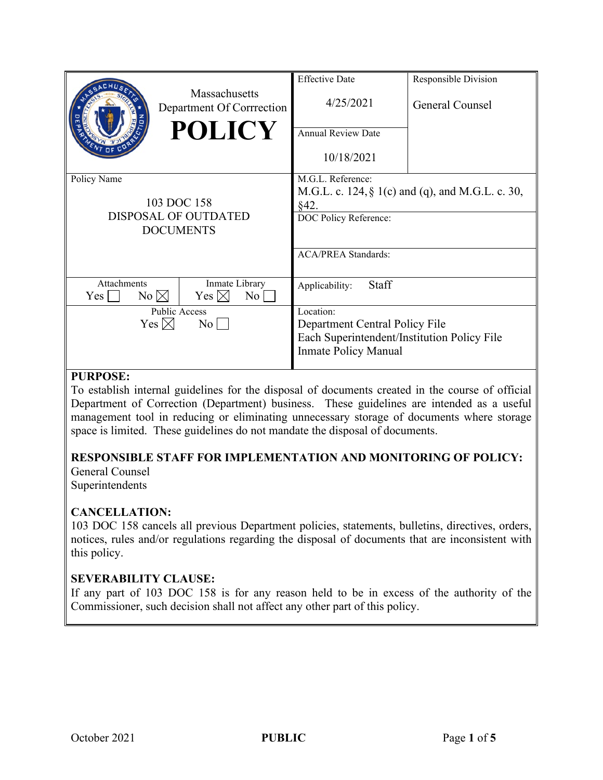|                                             |                                            | <b>Effective Date</b>                            | Responsible Division |
|---------------------------------------------|--------------------------------------------|--------------------------------------------------|----------------------|
|                                             | Massachusetts<br>Department Of Corrrection | 4/25/2021                                        | General Counsel      |
|                                             | <b>POLICY</b>                              | <b>Annual Review Date</b>                        |                      |
|                                             |                                            | 10/18/2021                                       |                      |
| Policy Name                                 |                                            | M.G.L. Reference:                                |                      |
|                                             |                                            | M.G.L. c. 124, § 1(c) and (q), and M.G.L. c. 30, |                      |
| 103 DOC 158                                 |                                            | §42.                                             |                      |
| DISPOSAL OF OUTDATED                        |                                            | DOC Policy Reference:                            |                      |
| <b>DOCUMENTS</b>                            |                                            |                                                  |                      |
|                                             |                                            | <b>ACA/PREA Standards:</b>                       |                      |
|                                             |                                            |                                                  |                      |
| Attachments<br>$No \boxtimes$<br>$Yes \Box$ | Inmate Library<br>Yes $\boxtimes$<br>No    | Staff<br>Applicability:                          |                      |
| <b>Public Access</b>                        |                                            | Location:                                        |                      |
| Yes $\boxtimes$<br>$\overline{N_0}$         |                                            | Department Central Policy File                   |                      |
|                                             |                                            | Each Superintendent/Institution Policy File      |                      |
|                                             |                                            | <b>Inmate Policy Manual</b>                      |                      |
|                                             |                                            |                                                  |                      |

### **PURPOSE:**

To establish internal guidelines for the disposal of documents created in the course of official Department of Correction (Department) business. These guidelines are intended as a useful management tool in reducing or eliminating unnecessary storage of documents where storage space is limited. These guidelines do not mandate the disposal of documents.

### **RESPONSIBLE STAFF FOR IMPLEMENTATION AND MONITORING OF POLICY:**

General Counsel Superintendents

### **CANCELLATION:**

103 DOC 158 cancels all previous Department policies, statements, bulletins, directives, orders, notices, rules and/or regulations regarding the disposal of documents that are inconsistent with this policy.

### **SEVERABILITY CLAUSE:**

If any part of 103 DOC 158 is for any reason held to be in excess of the authority of the Commissioner, such decision shall not affect any other part of this policy.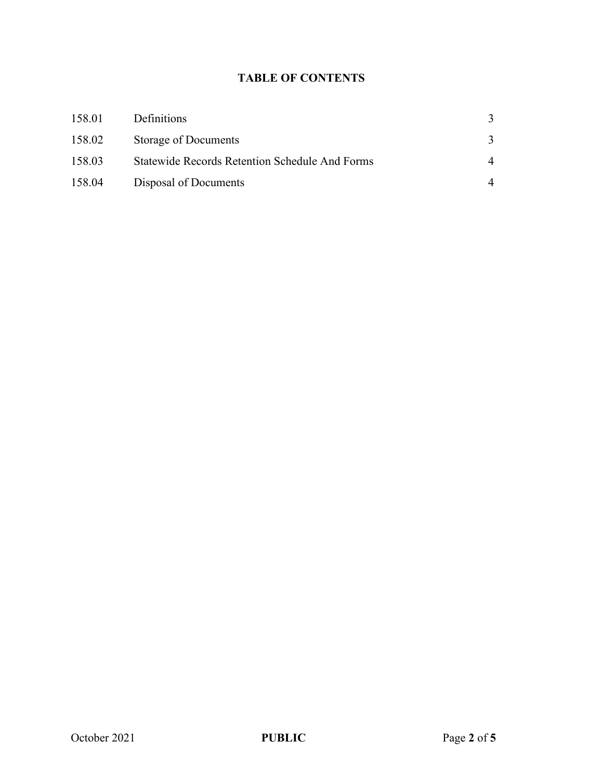# **TABLE OF CONTENTS**

| 158.01 | <b>Definitions</b>                                    |          |
|--------|-------------------------------------------------------|----------|
| 158.02 | <b>Storage of Documents</b>                           |          |
| 158.03 | <b>Statewide Records Retention Schedule And Forms</b> | $\Delta$ |
| 158.04 | Disposal of Documents                                 |          |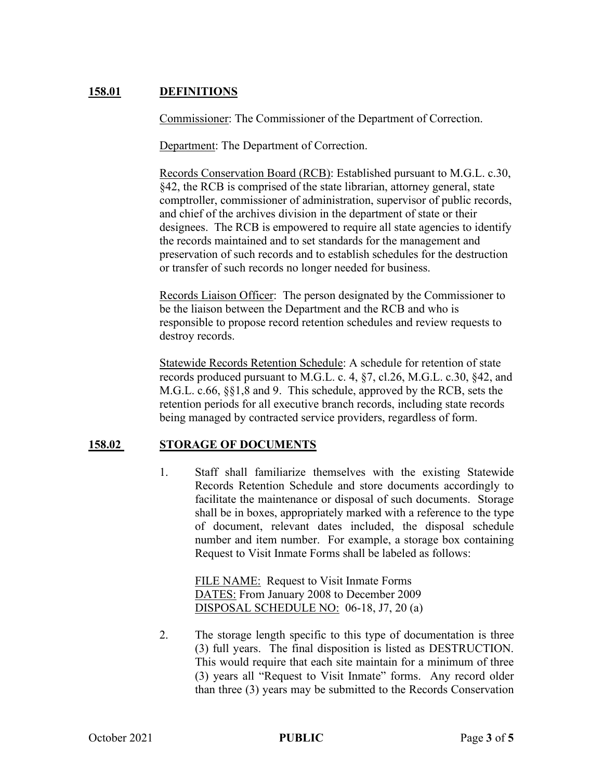## **158.01 DEFINITIONS**

Commissioner: The Commissioner of the Department of Correction.

Department: The Department of Correction.

Records Conservation Board (RCB): Established pursuant to M.G.L. c.30, §42, the RCB is comprised of the state librarian, attorney general, state comptroller, commissioner of administration, supervisor of public records, and chief of the archives division in the department of state or their designees. The RCB is empowered to require all state agencies to identify the records maintained and to set standards for the management and preservation of such records and to establish schedules for the destruction or transfer of such records no longer needed for business.

Records Liaison Officer: The person designated by the Commissioner to be the liaison between the Department and the RCB and who is responsible to propose record retention schedules and review requests to destroy records.

Statewide Records Retention Schedule: A schedule for retention of state records produced pursuant to M.G.L. c. 4, §7, cl.26, M.G.L. c.30, §42, and M.G.L. c.66, §§1,8 and 9. This schedule, approved by the RCB, sets the retention periods for all executive branch records, including state records being managed by contracted service providers, regardless of form.

### **158.02 STORAGE OF DOCUMENTS**

1. Staff shall familiarize themselves with the existing Statewide Records Retention Schedule and store documents accordingly to facilitate the maintenance or disposal of such documents. Storage shall be in boxes, appropriately marked with a reference to the type of document, relevant dates included, the disposal schedule number and item number. For example, a storage box containing Request to Visit Inmate Forms shall be labeled as follows:

> FILE NAME: Request to Visit Inmate Forms DATES: From January 2008 to December 2009 DISPOSAL SCHEDULE NO: 06-18, J7, 20 (a)

2. The storage length specific to this type of documentation is three (3) full years. The final disposition is listed as DESTRUCTION. This would require that each site maintain for a minimum of three (3) years all "Request to Visit Inmate" forms. Any record older than three (3) years may be submitted to the Records Conservation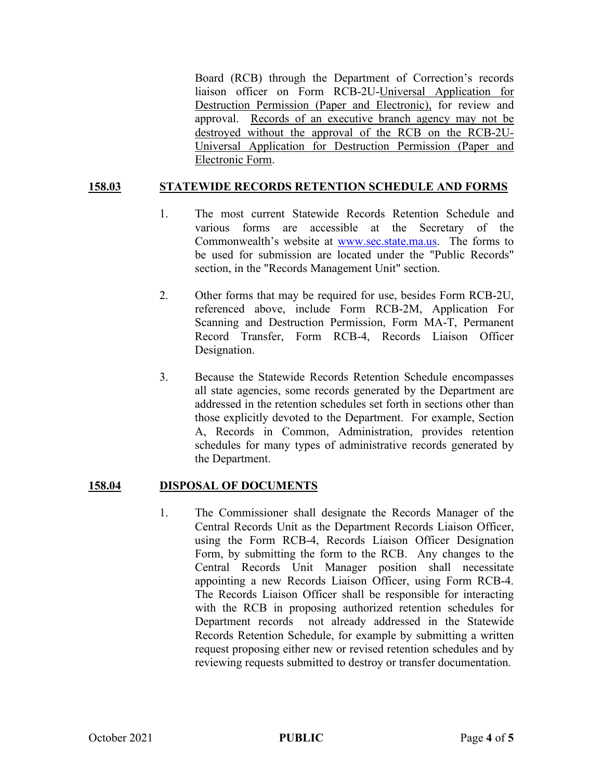Board (RCB) through the Department of Correction's records liaison officer on Form RCB-2U-Universal Application for Destruction Permission (Paper and Electronic), for review and approval. Records of an executive branch agency may not be destroyed without the approval of the RCB on the RCB-2U-Universal Application for Destruction Permission (Paper and Electronic Form.

### **158.03 STATEWIDE RECORDS RETENTION SCHEDULE AND FORMS**

- 1. The most current Statewide Records Retention Schedule and various forms are accessible at the Secretary of the Commonwealth's website at [www.sec.state.ma.us.](http://www.sec.state.ma.us/) The forms to be used for submission are located under the "Public Records" section, in the "Records Management Unit" section.
- 2. Other forms that may be required for use, besides Form RCB-2U, referenced above, include Form RCB-2M, Application For Scanning and Destruction Permission, Form MA-T, Permanent Record Transfer, Form RCB-4, Records Liaison Officer Designation.
- 3. Because the Statewide Records Retention Schedule encompasses all state agencies, some records generated by the Department are addressed in the retention schedules set forth in sections other than those explicitly devoted to the Department. For example, Section A, Records in Common, Administration, provides retention schedules for many types of administrative records generated by the Department.

#### **158.04 DISPOSAL OF DOCUMENTS**

1. The Commissioner shall designate the Records Manager of the Central Records Unit as the Department Records Liaison Officer, using the Form RCB-4, Records Liaison Officer Designation Form, by submitting the form to the RCB. Any changes to the Central Records Unit Manager position shall necessitate appointing a new Records Liaison Officer, using Form RCB-4. The Records Liaison Officer shall be responsible for interacting with the RCB in proposing authorized retention schedules for Department records not already addressed in the Statewide Records Retention Schedule, for example by submitting a written request proposing either new or revised retention schedules and by reviewing requests submitted to destroy or transfer documentation.